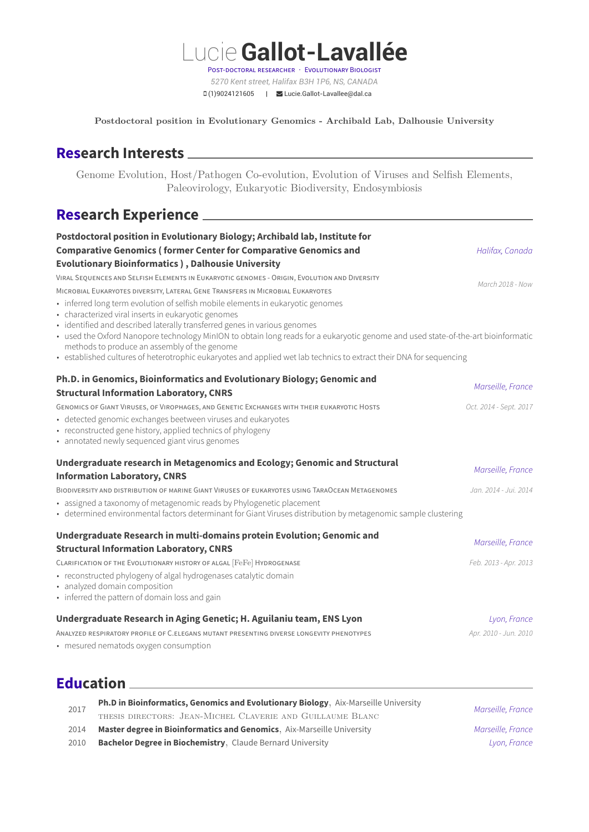Lucie**Gallot-Lavallée** POST-DOCTORAL RESEARCHER · EVOLUTIONARY BIOLOGIST *5270 Kent street, Halifax B3H 1P6, NS, CANADA* (1)9024121605 | [Lucie.Gallot-Lavallee@dal.ca](mailto:Lucie.Gallot-Lavallee@dal.ca)

**Postdoctoral position in Evolutionary Genomics - Archibald Lab, Dalhousie University**

# **Research Interests**

Genome Evolution, Host/Pathogen Co-evolution, Evolution of Viruses and Selfish Elements, Paleovirology, Eukaryotic Biodiversity, Endosymbiosis

# **Research Experience**

| Postdoctoral position in Evolutionary Biology; Archibald lab, Institute for                                                                                                                                                                                                                                                                                                                                                                                                                                                     |                        |
|---------------------------------------------------------------------------------------------------------------------------------------------------------------------------------------------------------------------------------------------------------------------------------------------------------------------------------------------------------------------------------------------------------------------------------------------------------------------------------------------------------------------------------|------------------------|
| <b>Comparative Genomics (former Center for Comparative Genomics and</b>                                                                                                                                                                                                                                                                                                                                                                                                                                                         | Halifax, Canada        |
| <b>Evolutionary Bioinformatics ), Dalhousie University</b>                                                                                                                                                                                                                                                                                                                                                                                                                                                                      |                        |
| VIRAL SEQUENCES AND SELFISH ELEMENTS IN EUKARYOTIC GENOMES - ORIGIN, EVOLUTION AND DIVERSITY                                                                                                                                                                                                                                                                                                                                                                                                                                    | March 2018 - Now       |
| MICROBIAL EUKARYOTES DIVERSITY, LATERAL GENE TRANSFERS IN MICROBIAL EUKARYOTES                                                                                                                                                                                                                                                                                                                                                                                                                                                  |                        |
| • inferred long term evolution of selfish mobile elements in eukaryotic genomes<br>• characterized viral inserts in eukaryotic genomes<br>· identified and described laterally transferred genes in various genomes<br>• used the Oxford Nanopore technology MinION to obtain long reads for a eukaryotic genome and used state-of-the-art bioinformatic<br>methods to produce an assembly of the genome<br>• established cultures of heterotrophic eukaryotes and applied wet lab technics to extract their DNA for sequencing |                        |
| Ph.D. in Genomics, Bioinformatics and Evolutionary Biology; Genomic and                                                                                                                                                                                                                                                                                                                                                                                                                                                         |                        |
| <b>Structural Information Laboratory, CNRS</b>                                                                                                                                                                                                                                                                                                                                                                                                                                                                                  | Marseille, France      |
| GENOMICS OF GIANT VIRUSES, OF VIROPHAGES, AND GENETIC EXCHANGES WITH THEIR EUKARYOTIC HOSTS                                                                                                                                                                                                                                                                                                                                                                                                                                     | Oct. 2014 - Sept. 2017 |
| · detected genomic exchanges beetween viruses and eukaryotes<br>• reconstructed gene history, applied technics of phylogeny<br>• annotated newly sequenced giant virus genomes                                                                                                                                                                                                                                                                                                                                                  |                        |
| Undergraduate research in Metagenomics and Ecology; Genomic and Structural                                                                                                                                                                                                                                                                                                                                                                                                                                                      |                        |
| <b>Information Laboratory, CNRS</b>                                                                                                                                                                                                                                                                                                                                                                                                                                                                                             | Marseille, France      |
| BIODIVERSITY AND DISTRIBUTION OF MARINE GIANT VIRUSES OF EUKARYOTES USING TARAOCEAN METAGENOMES                                                                                                                                                                                                                                                                                                                                                                                                                                 | Jan. 2014 - Jui. 2014  |
| • assigned a taxonomy of metagenomic reads by Phylogenetic placement<br>• determined environmental factors determinant for Giant Viruses distribution by metagenomic sample clustering                                                                                                                                                                                                                                                                                                                                          |                        |
| Undergraduate Research in multi-domains protein Evolution; Genomic and                                                                                                                                                                                                                                                                                                                                                                                                                                                          | Marseille, France      |
| <b>Structural Information Laboratory, CNRS</b>                                                                                                                                                                                                                                                                                                                                                                                                                                                                                  |                        |
| CLARIFICATION OF THE EVOLUTIONARY HISTORY OF ALGAL [FeFe] HYDROGENASE                                                                                                                                                                                                                                                                                                                                                                                                                                                           | Feb. 2013 - Apr. 2013  |
| • reconstructed phylogeny of algal hydrogenases catalytic domain<br>• analyzed domain composition                                                                                                                                                                                                                                                                                                                                                                                                                               |                        |
| • inferred the pattern of domain loss and gain                                                                                                                                                                                                                                                                                                                                                                                                                                                                                  |                        |
| Undergraduate Research in Aging Genetic; H. Aguilaniu team, ENS Lyon                                                                                                                                                                                                                                                                                                                                                                                                                                                            | Lyon, France           |
| ANALYZED RESPIRATORY PROFILE OF C.ELEGANS MUTANT PRESENTING DIVERSE LONGEVITY PHENOTYPES                                                                                                                                                                                                                                                                                                                                                                                                                                        | Apr. 2010 - Jun. 2010  |
| • mesured nematods oxygen consumption                                                                                                                                                                                                                                                                                                                                                                                                                                                                                           |                        |

### **Education**

| 2017 | Ph.D in Bioinformatics, Genomics and Evolutionary Biology, Aix-Marseille University | Marseille, France |
|------|-------------------------------------------------------------------------------------|-------------------|
|      | THESIS DIRECTORS: JEAN-MICHEL CLAVERIE AND GUILLAUME BLANC                          |                   |
| 2014 | Master degree in Bioinformatics and Genomics, Aix-Marseille University              | Marseille, France |
| 2010 | Bachelor Degree in Biochemistry, Claude Bernard University                          | Lyon, France      |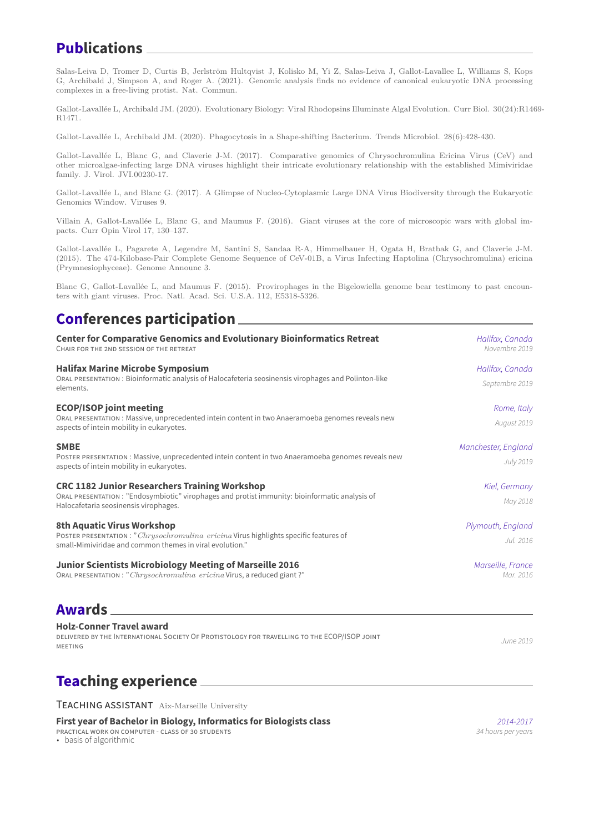## **Publications**

Salas-Leiva D, Tromer D, Curtis B, Jerlström Hultqvist J, Kolisko M, Yi Z, Salas-Leiva J, Gallot-Lavallee L, Williams S, Kops G, Archibald J, Simpson A, and Roger A. (2021). Genomic analysis finds no evidence of canonical eukaryotic DNA processing complexes in a free-living protist. Nat. Commun.

Gallot-Lavallée L, Archibald JM. (2020). Evolutionary Biology: Viral Rhodopsins Illuminate Algal Evolution. Curr Biol. 30(24):R1469- R1471.

Gallot-Lavallée L, Archibald JM. (2020). Phagocytosis in a Shape-shifting Bacterium. Trends Microbiol. 28(6):428-430.

Gallot-Lavallée L, Blanc G, and Claverie J-M. (2017). Comparative genomics of Chrysochromulina Ericina Virus (CeV) and other microalgae-infecting large DNA viruses highlight their intricate evolutionary relationship with the established Mimiviridae family. J. Virol. JVI.00230-17.

Gallot-Lavallée L, and Blanc G. (2017). A Glimpse of Nucleo-Cytoplasmic Large DNA Virus Biodiversity through the Eukaryotic Genomics Window. Viruses 9.

Villain A, Gallot-Lavallée L, Blanc G, and Maumus F. (2016). Giant viruses at the core of microscopic wars with global impacts. Curr Opin Virol 17, 130–137.

Gallot-Lavallée L, Pagarete A, Legendre M, Santini S, Sandaa R-A, Himmelbauer H, Ogata H, Bratbak G, and Claverie J-M. (2015). The 474-Kilobase-Pair Complete Genome Sequence of CeV-01B, a Virus Infecting Haptolina (Chrysochromulina) ericina (Prymnesiophyceae). Genome Announc 3.

Blanc G, Gallot-Lavallée L, and Maumus F. (2015). Provirophages in the Bigelowiella genome bear testimony to past encounters with giant viruses. Proc. Natl. Acad. Sci. U.S.A. 112, E5318-5326.

## **Conferences participation**

| <b>Center for Comparative Genomics and Evolutionary Bioinformatics Retreat</b><br>CHAIR FOR THE 2ND SESSION OF THE RETREAT                                                                     | Halifax, Canada<br>Novembre 2019  |
|------------------------------------------------------------------------------------------------------------------------------------------------------------------------------------------------|-----------------------------------|
| <b>Halifax Marine Microbe Symposium</b><br>ORAL PRESENTATION: Bioinformatic analysis of Halocafeteria seosinensis virophages and Polinton-like<br>elements.                                    | Halifax, Canada<br>Septembre 2019 |
| <b>ECOP/ISOP joint meeting</b><br>ORAL PRESENTATION: Massive, unprecedented intein content in two Anaeramoeba genomes reveals new<br>aspects of intein mobility in eukaryotes.                 | Rome, Italy<br>August 2019        |
| <b>SMBE</b><br>POSTER PRESENTATION : Massive, unprecedented intein content in two Anaeramoeba genomes reveals new<br>aspects of intein mobility in eukaryotes.                                 | Manchester, England<br>July 2019  |
| <b>CRC 1182 Junior Researchers Training Workshop</b><br>ORAL PRESENTATION: "Endosymbiotic" virophages and protist immunity: bioinformatic analysis of<br>Halocafetaria seosinensis virophages. | Kiel, Germany<br>May 2018         |
| 8th Aquatic Virus Workshop<br>POSTER PRESENTATION: "Chrysochromulina ericina Virus highlights specific features of<br>small-Mimiviridae and common themes in viral evolution."                 | Plymouth, England<br>Jul. 2016    |
| Junior Scientists Microbiology Meeting of Marseille 2016<br>ORAL PRESENTATION: "Chrysochromulina ericina Virus, a reduced giant?"                                                              | Marseille, France<br>Mar. 2016    |

#### **Awards**

**Holz-Conner Travel award** DELIVERED BY THE INTERNATIONAL SOCIETY OF PROTISTOLOGY FOR TRAVELLING TO THE ECOP/ISOP JOINT

MEETING

## **Teaching experience**

TEACHING ASSISTANT Aix-Marseille University

**First year of Bachelor in Biology, Informatics for Biologists class** *2014-2017*<br>**PRACTICAL WORK ON COMPUTER - CLASS OF 30 STUDENTS** *Boxy CLASS CLASS 34 hours per years* 

PRACTICAL WORK ON COMPUTER - CLASS OF 30 STUDENTS

• basis of algorithmic

*June 2019*